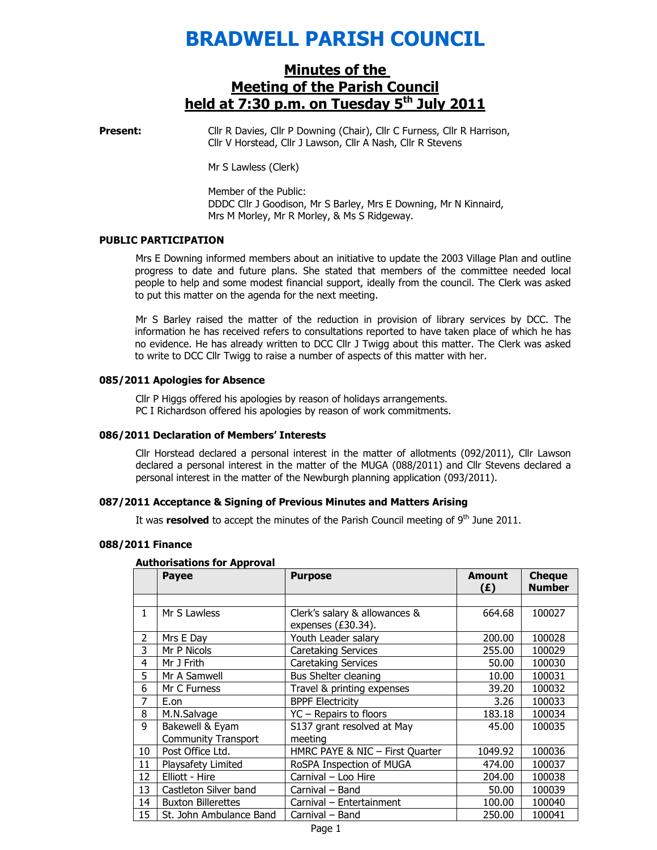# BRADWELL PARISH COUNCIL

## Minutes of the Meeting of the Parish Council held at  $7:30$  p.m. on Tuesday  $5<sup>th</sup>$  July 2011

**Present:** Cllr R Davies, Cllr P Downing (Chair), Cllr C Furness, Cllr R Harrison, Cllr V Horstead, Cllr J Lawson, Cllr A Nash, Cllr R Stevens

Mr S Lawless (Clerk)

Member of the Public: DDDC Cllr J Goodison, Mr S Barley, Mrs E Downing, Mr N Kinnaird, Mrs M Morley, Mr R Morley, & Ms S Ridgeway.

#### PUBLIC PARTICIPATION

Mrs E Downing informed members about an initiative to update the 2003 Village Plan and outline progress to date and future plans. She stated that members of the committee needed local people to help and some modest financial support, ideally from the council. The Clerk was asked to put this matter on the agenda for the next meeting.

Mr S Barley raised the matter of the reduction in provision of library services by DCC. The information he has received refers to consultations reported to have taken place of which he has no evidence. He has already written to DCC Cllr J Twigg about this matter. The Clerk was asked to write to DCC Cllr Twigg to raise a number of aspects of this matter with her.

#### 085/2011 Apologies for Absence

Cllr P Higgs offered his apologies by reason of holidays arrangements. PC I Richardson offered his apologies by reason of work commitments.

#### 086/2011 Declaration of Members' Interests

Cllr Horstead declared a personal interest in the matter of allotments (092/2011), Cllr Lawson declared a personal interest in the matter of the MUGA (088/2011) and Cllr Stevens declared a personal interest in the matter of the Newburgh planning application (093/2011).

#### 087/2011 Acceptance & Signing of Previous Minutes and Matters Arising

It was resolved to accept the minutes of the Parish Council meeting of  $9<sup>th</sup>$  June 2011.

#### 088/2011 Finance

#### Authorisations for Approval

|    | <b>Payee</b>                                  | <b>Purpose</b>                                         | <b>Amount</b><br>(E) | <b>Cheque</b><br><b>Number</b> |
|----|-----------------------------------------------|--------------------------------------------------------|----------------------|--------------------------------|
|    |                                               |                                                        |                      |                                |
| 1  | Mr S Lawless                                  | Clerk's salary & allowances &<br>expenses $(E30.34)$ . | 664.68               | 100027                         |
| 2  | Mrs E Day                                     | Youth Leader salary                                    | 200.00               | 100028                         |
| 3  | Mr P Nicols                                   | <b>Caretaking Services</b>                             | 255.00               | 100029                         |
| 4  | Mr J Frith                                    | <b>Caretaking Services</b>                             | 50.00                | 100030                         |
| 5  | Mr A Samwell                                  | Bus Shelter cleaning                                   | 10.00                | 100031                         |
| 6  | Mr C Furness                                  | Travel & printing expenses                             | 39.20                | 100032                         |
| 7  | E.on                                          | <b>BPPF Electricity</b>                                | 3.26                 | 100033                         |
| 8  | M.N.Salvage                                   | YC - Repairs to floors                                 | 183.18               | 100034                         |
| 9  | Bakewell & Eyam<br><b>Community Transport</b> | S137 grant resolved at May<br>meeting                  | 45.00                | 100035                         |
| 10 | Post Office Ltd.                              | HMRC PAYE & NIC - First Quarter                        | 1049.92              | 100036                         |
| 11 | Playsafety Limited                            | RoSPA Inspection of MUGA                               | 474.00               | 100037                         |
| 12 | Elliott - Hire                                | Carnival - Loo Hire                                    | 204.00               | 100038                         |
| 13 | Castleton Silver band                         | Carnival - Band                                        | 50.00                | 100039                         |
| 14 | <b>Buxton Billerettes</b>                     | Carnival - Entertainment                               | 100.00               | 100040                         |
| 15 | St. John Ambulance Band                       | Carnival - Band                                        | 250.00               | 100041                         |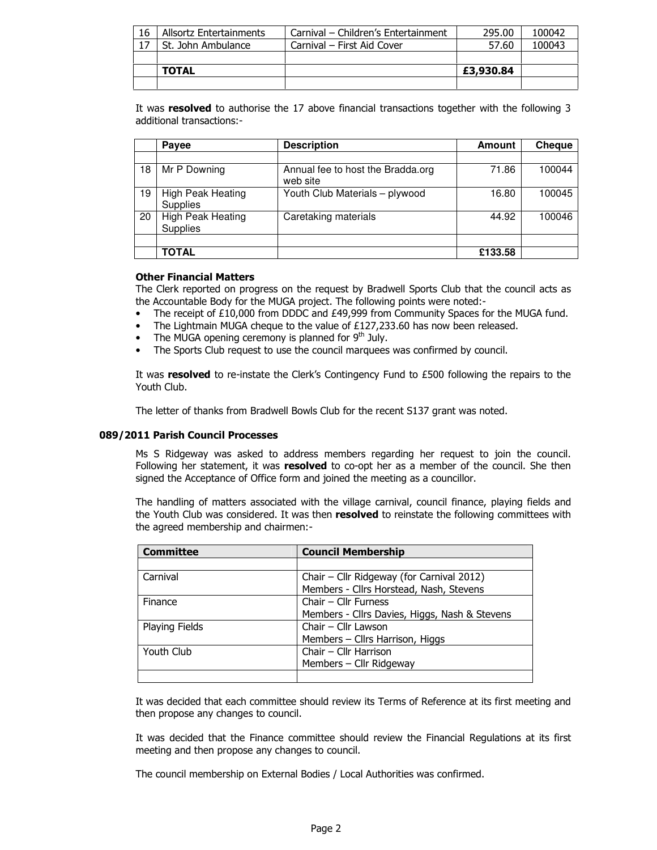| 16 | Allsortz Entertainments | Carnival – Children's Entertainment | 295.00    | 100042 |
|----|-------------------------|-------------------------------------|-----------|--------|
|    | St. John Ambulance      | Carnival – First Aid Cover          | 57.60     | 100043 |
|    |                         |                                     |           |        |
|    | <b>TOTAL</b>            |                                     | £3,930.84 |        |
|    |                         |                                     |           |        |

It was resolved to authorise the 17 above financial transactions together with the following 3 additional transactions:-

|    | <b>Payee</b>                                | <b>Description</b>                            | Amount  | <b>Cheque</b> |
|----|---------------------------------------------|-----------------------------------------------|---------|---------------|
|    |                                             |                                               |         |               |
| 18 | Mr P Downing                                | Annual fee to host the Bradda.org<br>web site | 71.86   | 100044        |
| 19 | High Peak Heating<br>Supplies               | Youth Club Materials - plywood                | 16.80   | 100045        |
| 20 | <b>High Peak Heating</b><br><b>Supplies</b> | Caretaking materials                          | 44.92   | 100046        |
|    |                                             |                                               |         |               |
|    | TOTAL                                       |                                               | £133.58 |               |

#### Other Financial Matters

The Clerk reported on progress on the request by Bradwell Sports Club that the council acts as the Accountable Body for the MUGA project. The following points were noted:-

- The receipt of £10,000 from DDDC and £49,999 from Community Spaces for the MUGA fund.
- The Lightmain MUGA cheque to the value of £127,233.60 has now been released.
- The MUGA opening ceremony is planned for  $9<sup>th</sup>$  July.
- The Sports Club request to use the council marquees was confirmed by council.

It was resolved to re-instate the Clerk's Contingency Fund to £500 following the repairs to the Youth Club.

The letter of thanks from Bradwell Bowls Club for the recent S137 grant was noted.

#### 089/2011 Parish Council Processes

Ms S Ridgeway was asked to address members regarding her request to join the council. Following her statement, it was resolved to co-opt her as a member of the council. She then signed the Acceptance of Office form and joined the meeting as a councillor.

The handling of matters associated with the village carnival, council finance, playing fields and the Youth Club was considered. It was then resolved to reinstate the following committees with the agreed membership and chairmen:-

| <b>Committee</b> | <b>Council Membership</b>                     |  |
|------------------|-----------------------------------------------|--|
|                  |                                               |  |
| Carnival         | Chair - Cllr Ridgeway (for Carnival 2012)     |  |
|                  | Members - Cllrs Horstead, Nash, Stevens       |  |
| Finance          | Chair - Cllr Furness                          |  |
|                  | Members - Cllrs Davies, Higgs, Nash & Stevens |  |
| Playing Fields   | Chair - Cllr Lawson                           |  |
|                  | Members - Cllrs Harrison, Higgs               |  |
| Youth Club       | Chair - Cllr Harrison                         |  |
|                  | Members - Cllr Ridgeway                       |  |
|                  |                                               |  |

It was decided that each committee should review its Terms of Reference at its first meeting and then propose any changes to council.

It was decided that the Finance committee should review the Financial Regulations at its first meeting and then propose any changes to council.

The council membership on External Bodies / Local Authorities was confirmed.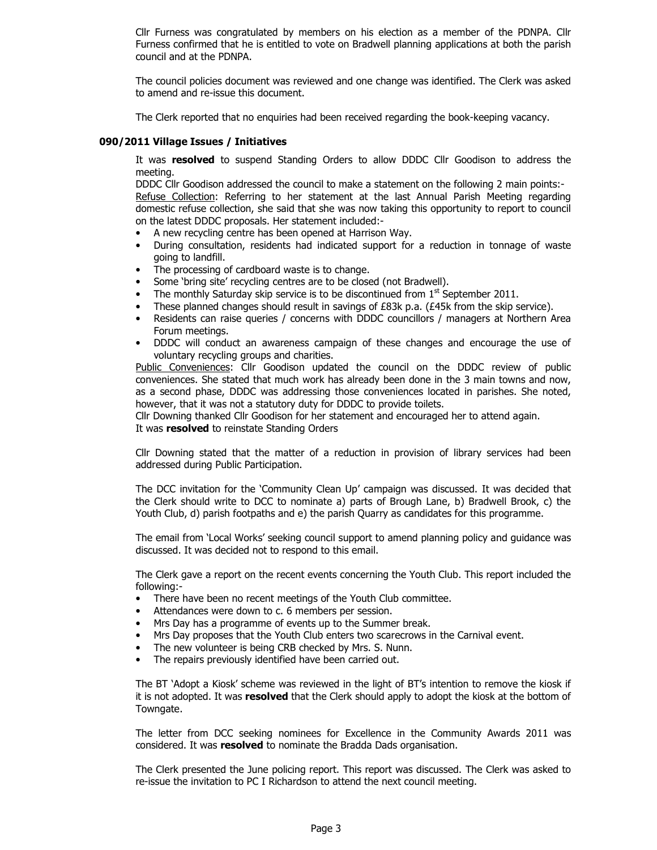Cllr Furness was congratulated by members on his election as a member of the PDNPA. Cllr Furness confirmed that he is entitled to vote on Bradwell planning applications at both the parish council and at the PDNPA.

The council policies document was reviewed and one change was identified. The Clerk was asked to amend and re-issue this document.

The Clerk reported that no enquiries had been received regarding the book-keeping vacancy.

#### 090/2011 Village Issues / Initiatives

It was resolved to suspend Standing Orders to allow DDDC Cllr Goodison to address the meeting.

DDDC Cllr Goodison addressed the council to make a statement on the following 2 main points:- Refuse Collection: Referring to her statement at the last Annual Parish Meeting regarding domestic refuse collection, she said that she was now taking this opportunity to report to council on the latest DDDC proposals. Her statement included:-

- A new recycling centre has been opened at Harrison Way.
- During consultation, residents had indicated support for a reduction in tonnage of waste going to landfill.
- The processing of cardboard waste is to change.
- Some 'bring site' recycling centres are to be closed (not Bradwell).
- The monthly Saturday skip service is to be discontinued from  $1<sup>st</sup>$  September 2011.
- These planned changes should result in savings of £83k p.a. (£45k from the skip service).
- Residents can raise queries / concerns with DDDC councillors / managers at Northern Area Forum meetings.
- DDDC will conduct an awareness campaign of these changes and encourage the use of voluntary recycling groups and charities.

Public Conveniences: Cllr Goodison updated the council on the DDDC review of public conveniences. She stated that much work has already been done in the 3 main towns and now, as a second phase, DDDC was addressing those conveniences located in parishes. She noted, however, that it was not a statutory duty for DDDC to provide toilets.

Cllr Downing thanked Cllr Goodison for her statement and encouraged her to attend again. It was **resolved** to reinstate Standing Orders

Cllr Downing stated that the matter of a reduction in provision of library services had been addressed during Public Participation.

The DCC invitation for the 'Community Clean Up' campaign was discussed. It was decided that the Clerk should write to DCC to nominate a) parts of Brough Lane, b) Bradwell Brook, c) the Youth Club, d) parish footpaths and e) the parish Quarry as candidates for this programme.

The email from 'Local Works' seeking council support to amend planning policy and guidance was discussed. It was decided not to respond to this email.

The Clerk gave a report on the recent events concerning the Youth Club. This report included the following:-

- There have been no recent meetings of the Youth Club committee.
- Attendances were down to c. 6 members per session.
- Mrs Day has a programme of events up to the Summer break.
- Mrs Day proposes that the Youth Club enters two scarecrows in the Carnival event.
- The new volunteer is being CRB checked by Mrs. S. Nunn.
- The repairs previously identified have been carried out.

The BT 'Adopt a Kiosk' scheme was reviewed in the light of BT's intention to remove the kiosk if it is not adopted. It was resolved that the Clerk should apply to adopt the kiosk at the bottom of Towngate.

The letter from DCC seeking nominees for Excellence in the Community Awards 2011 was considered. It was resolved to nominate the Bradda Dads organisation.

The Clerk presented the June policing report. This report was discussed. The Clerk was asked to re-issue the invitation to PC I Richardson to attend the next council meeting.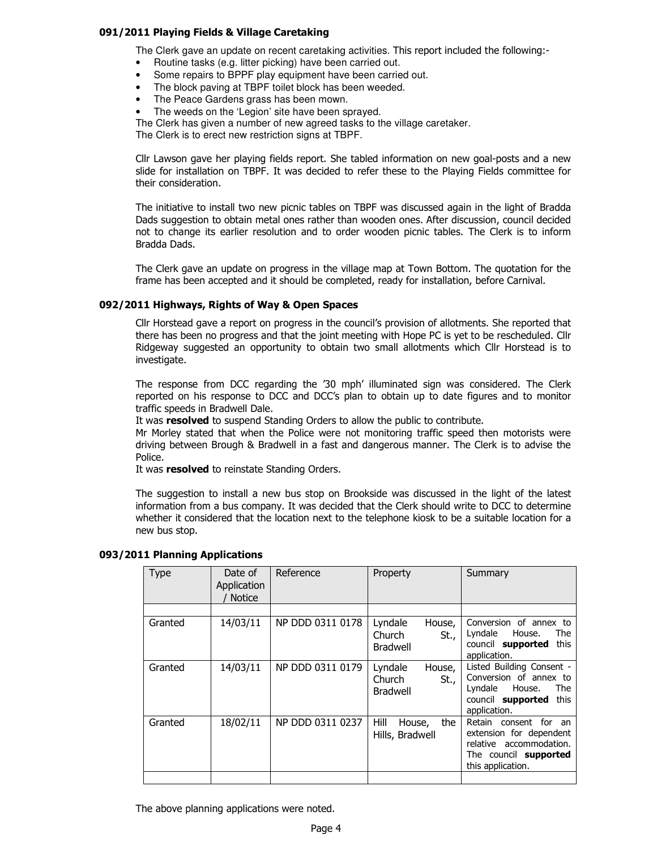#### 091/2011 Playing Fields & Village Caretaking

The Clerk gave an update on recent caretaking activities. This report included the following:-

- Routine tasks (e.g. litter picking) have been carried out.
- Some repairs to BPPF play equipment have been carried out.
- The block paving at TBPF toilet block has been weeded.
- The Peace Gardens grass has been mown.
- The weeds on the 'Legion' site have been sprayed.

The Clerk has given a number of new agreed tasks to the village caretaker.

The Clerk is to erect new restriction signs at TBPF.

Cllr Lawson gave her playing fields report. She tabled information on new goal-posts and a new slide for installation on TBPF. It was decided to refer these to the Playing Fields committee for their consideration.

The initiative to install two new picnic tables on TBPF was discussed again in the light of Bradda Dads suggestion to obtain metal ones rather than wooden ones. After discussion, council decided not to change its earlier resolution and to order wooden picnic tables. The Clerk is to inform Bradda Dads.

The Clerk gave an update on progress in the village map at Town Bottom. The quotation for the frame has been accepted and it should be completed, ready for installation, before Carnival.

#### 092/2011 Highways, Rights of Way & Open Spaces

Cllr Horstead gave a report on progress in the council's provision of allotments. She reported that there has been no progress and that the joint meeting with Hope PC is yet to be rescheduled. Cllr Ridgeway suggested an opportunity to obtain two small allotments which Cllr Horstead is to investigate.

The response from DCC regarding the '30 mph' illuminated sign was considered. The Clerk reported on his response to DCC and DCC's plan to obtain up to date figures and to monitor traffic speeds in Bradwell Dale.

It was resolved to suspend Standing Orders to allow the public to contribute.

Mr Morley stated that when the Police were not monitoring traffic speed then motorists were driving between Brough & Bradwell in a fast and dangerous manner. The Clerk is to advise the Police.

It was resolved to reinstate Standing Orders.

The suggestion to install a new bus stop on Brookside was discussed in the light of the latest information from a bus company. It was decided that the Clerk should write to DCC to determine whether it considered that the location next to the telephone kiosk to be a suitable location for a new bus stop.

| <b>Type</b> | Date of<br>Application<br><b>Notice</b> | Reference        | Property                                               | Summary                                                                                                                          |
|-------------|-----------------------------------------|------------------|--------------------------------------------------------|----------------------------------------------------------------------------------------------------------------------------------|
|             |                                         |                  |                                                        |                                                                                                                                  |
| Granted     | 14/03/11                                | NP DDD 0311 0178 | Lyndale<br>House,<br>Church<br>St.,<br><b>Bradwell</b> | Conversion of annex to<br>House.<br>Lyndale<br>The<br>council supported<br>this<br>application.                                  |
| Granted     | 14/03/11                                | NP DDD 0311 0179 | Lyndale<br>House,<br>Church<br>St.,<br><b>Bradwell</b> | Listed Building Consent -<br>Conversion of annex to<br>House.<br>Lyndale<br>The<br>council supported<br>this<br>application.     |
| Granted     | 18/02/11                                | NP DDD 0311 0237 | Hill<br>the<br>House,<br>Hills, Bradwell               | Retain consent for an<br>extension for dependent<br>relative accommodation.<br>The council <b>supported</b><br>this application. |
|             |                                         |                  |                                                        |                                                                                                                                  |

#### 093/2011 Planning Applications

The above planning applications were noted.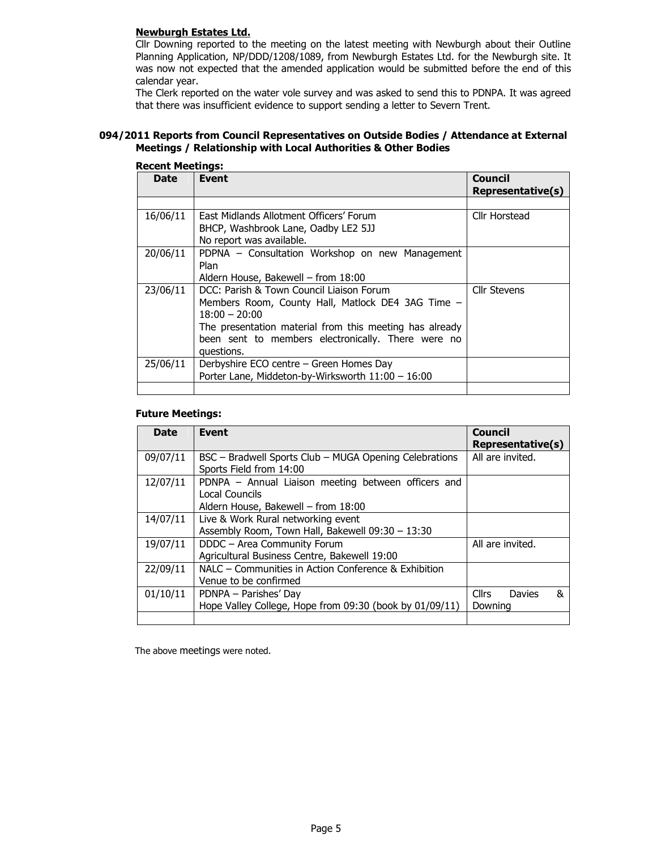#### Newburgh Estates Ltd.

Cllr Downing reported to the meeting on the latest meeting with Newburgh about their Outline Planning Application, NP/DDD/1208/1089, from Newburgh Estates Ltd. for the Newburgh site. It was now not expected that the amended application would be submitted before the end of this calendar year.

The Clerk reported on the water vole survey and was asked to send this to PDNPA. It was agreed that there was insufficient evidence to support sending a letter to Severn Trent.

#### 094/2011 Reports from Council Representatives on Outside Bodies / Attendance at External Meetings / Relationship with Local Authorities & Other Bodies

| www.comings. |                                                         |                              |  |
|--------------|---------------------------------------------------------|------------------------------|--|
| <b>Date</b>  | Event                                                   | Council<br>Representative(s) |  |
|              |                                                         |                              |  |
| 16/06/11     | East Midlands Allotment Officers' Forum                 | Cllr Horstead                |  |
|              | BHCP, Washbrook Lane, Oadby LE2 5JJ                     |                              |  |
|              | No report was available.                                |                              |  |
| 20/06/11     | PDPNA – Consultation Workshop on new Management         |                              |  |
|              | Plan                                                    |                              |  |
|              | Aldern House, Bakewell – from 18:00                     |                              |  |
| 23/06/11     | DCC: Parish & Town Council Liaison Forum                | <b>Cllr Stevens</b>          |  |
|              | Members Room, County Hall, Matlock DE4 3AG Time –       |                              |  |
|              | $18:00 - 20:00$                                         |                              |  |
|              | The presentation material from this meeting has already |                              |  |
|              | been sent to members electronically. There were no      |                              |  |
|              | questions.                                              |                              |  |
| 25/06/11     | Derbyshire ECO centre - Green Homes Day                 |                              |  |
|              | Porter Lane, Middeton-by-Wirksworth 11:00 - 16:00       |                              |  |
|              |                                                         |                              |  |

#### Recent Meetings:

#### Future Meetings:

| <b>Date</b> | <b>Event</b>                                                                                                 | <b>Council</b><br>Representative(s)    |
|-------------|--------------------------------------------------------------------------------------------------------------|----------------------------------------|
| 09/07/11    | BSC – Bradwell Sports Club – MUGA Opening Celebrations<br>Sports Field from 14:00                            | All are invited.                       |
| 12/07/11    | PDNPA - Annual Liaison meeting between officers and<br>Local Councils<br>Aldern House, Bakewell - from 18:00 |                                        |
| 14/07/11    | Live & Work Rural networking event<br>Assembly Room, Town Hall, Bakewell 09:30 - 13:30                       |                                        |
| 19/07/11    | DDDC - Area Community Forum<br>Agricultural Business Centre, Bakewell 19:00                                  | All are invited.                       |
| 22/09/11    | NALC - Communities in Action Conference & Exhibition<br>Venue to be confirmed                                |                                        |
| 01/10/11    | PDNPA – Parishes' Day<br>Hope Valley College, Hope from 09:30 (book by 01/09/11)                             | <b>Cllrs</b><br>Davies<br>&<br>Downing |
|             |                                                                                                              |                                        |

The above meetings were noted.